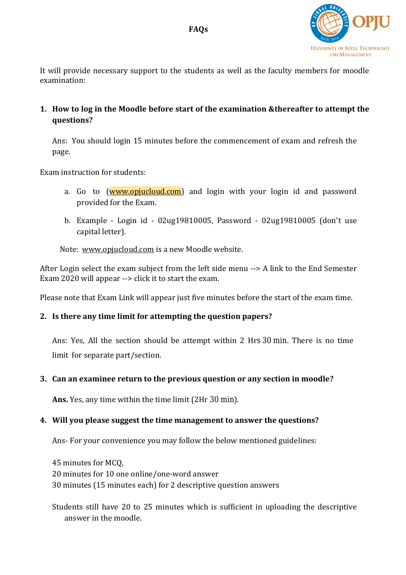

It will provide necessary support to the students as well as the faculty members for moodle examination:

**1. How to log in the Moodle before start of the examination &thereafter to attempt the questions?**

Ans: You should login 15 minutes before the commencement of exam and refresh the page.

Exam instruction for students:

- a. Go to [\(www.opjucloud.com\)](http://www.opjucloud.com/) and login with your login id and password provided for the Exam.
- b. Example Login id 02ug19810005, Password 02ug19810005 (don't use capital letter).

Note: [www.opjucloud.com](http://www.opjucloud.com/) is a new Moodle website.

After Login select the exam subject from the left side menu  $\rightarrow$  A link to the End Semester Exam 2020 will appear --> click it to start the exam.

Please note that Exam Link will appear just five minutes before the start of the exam time.

### **2. Is there any time limit for attempting the question papers?**

Ans: Yes, All the section should be attempt within 2 Hrs 30 min. There is no time limit for separate part/section.

### **3. Can an examinee return to the previous question or any section in moodle?**

**Ans.** Yes, any time within the time limit (2Hr 30 min).

#### **4. Will you please suggest the time management to answer the questions?**

Ans- For your convenience you may follow the below mentioned guidelines:

45 minutes for MCQ, 20 minutes for 10 one online/one-word answer 30 minutes (15 minutes each) for 2 descriptive question answers

Students still have 20 to 25 minutes which is sufficient in uploading the descriptive answer in the moodle.